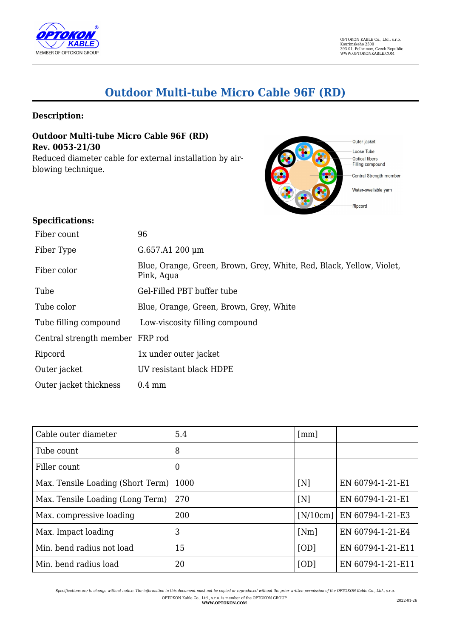

# **Outdoor Multi-tube Micro Cable 96F (RD)**

## **Description:**

**Outdoor Multi-tube Micro Cable 96F (RD) Rev. 0053-21/30**

Reduced diameter cable for external installation by airblowing technique.



#### **Specifications:**

| Fiber count                     | 96                                                                                 |
|---------------------------------|------------------------------------------------------------------------------------|
| Fiber Type                      | G.657.A1 200 µm                                                                    |
| Fiber color                     | Blue, Orange, Green, Brown, Grey, White, Red, Black, Yellow, Violet,<br>Pink, Aqua |
| Tube                            | Gel-Filled PBT buffer tube                                                         |
| Tube color                      | Blue, Orange, Green, Brown, Grey, White                                            |
| Tube filling compound           | Low-viscosity filling compound                                                     |
| Central strength member FRP rod |                                                                                    |
| Ripcord                         | 1x under outer jacket                                                              |
| Outer jacket                    | UV resistant black HDPE                                                            |
| Outer jacket thickness          | $0.4 \text{ mm}$                                                                   |

| Cable outer diameter              | 5.4  | $\lceil$ mm $\rceil$ |                               |
|-----------------------------------|------|----------------------|-------------------------------|
| Tube count                        | 8    |                      |                               |
| Filler count                      | 0    |                      |                               |
| Max. Tensile Loading (Short Term) | 1000 | [N]                  | EN 60794-1-21-E1              |
| Max. Tensile Loading (Long Term)  | 270  | [N]                  | EN 60794-1-21-E1              |
| Max. compressive loading          | 200  |                      | $[N/10cm]$   EN 60794-1-21-E3 |
| Max. Impact loading               | 3    | [Nm]                 | EN 60794-1-21-E4              |
| Min. bend radius not load         | 15   | [OD]                 | EN 60794-1-21-E11             |
| Min. bend radius load             | 20   | [OD]                 | EN 60794-1-21-E11             |

*Specifications are to change without notice. The information in this document must not be copied or reproduced without the prior written permission of the OPTOKON Kable Co., Ltd., s.r.o.* OPTOKON Kable Co., Ltd., s.r.o. is member of the OPTOKON GROUP **WWW.OPTOKON.COM** 2022-01-26